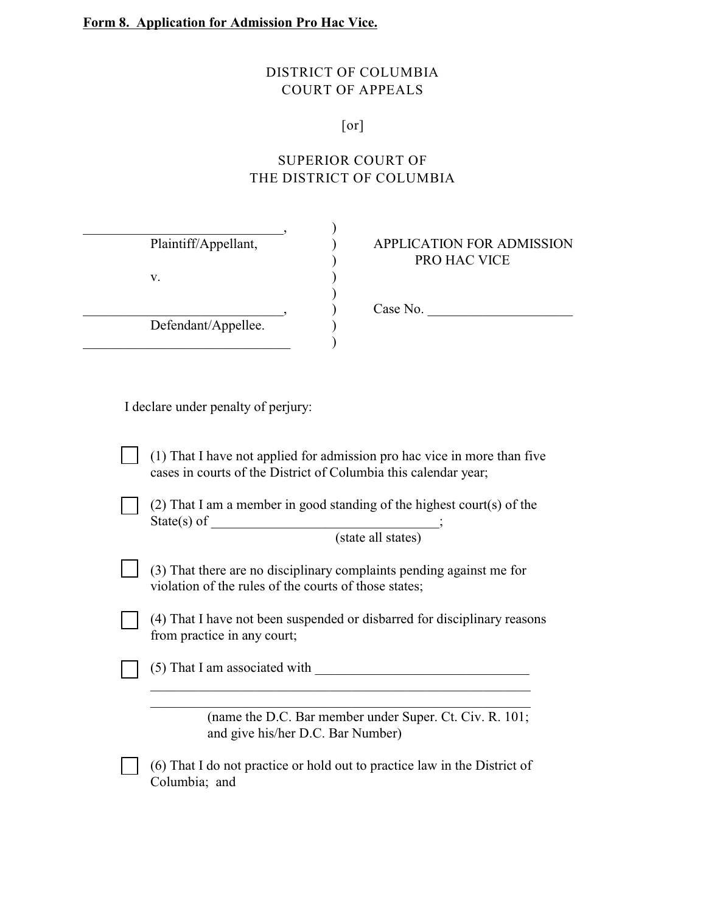## DISTRICT OF COLUMBIA COURT OF APPEALS

## [or]

## SUPERIOR COURT OF THE DISTRICT OF COLUMBIA

| Plaintiff/Appellant, | <b>APPLICATION FOR ADMISSION</b><br>PRO HAC VICE |
|----------------------|--------------------------------------------------|
| v.                   | Case No.                                         |
| Defendant/Appellee.  |                                                  |

I declare under penalty of perjury:

(1) That I have not applied for admission pro hac vice in more than five cases in courts of the District of Columbia this calendar year;

(2) That I am a member in good standing of the highest court(s) of the  $State(s)$  of

(state all states)

(3) That there are no disciplinary complaints pending against me for violation of the rules of the courts of those states;

(4) That I have not been suspended or disbarred for disciplinary reasons from practice in any court;

 $(5)$  That I am associated with

 $\_$  , and the set of the set of the set of the set of the set of the set of the set of the set of the set of the set of the set of the set of the set of the set of the set of the set of the set of the set of the set of th  $\_$  , and the set of the set of the set of the set of the set of the set of the set of the set of the set of the set of the set of the set of the set of the set of the set of the set of the set of the set of the set of th

(name the D.C. Bar member under Super. Ct. Civ. R. 101; and give his/her D.C. Bar Number)

(6) That I do not practice or hold out to practice law in the District of Columbia; and